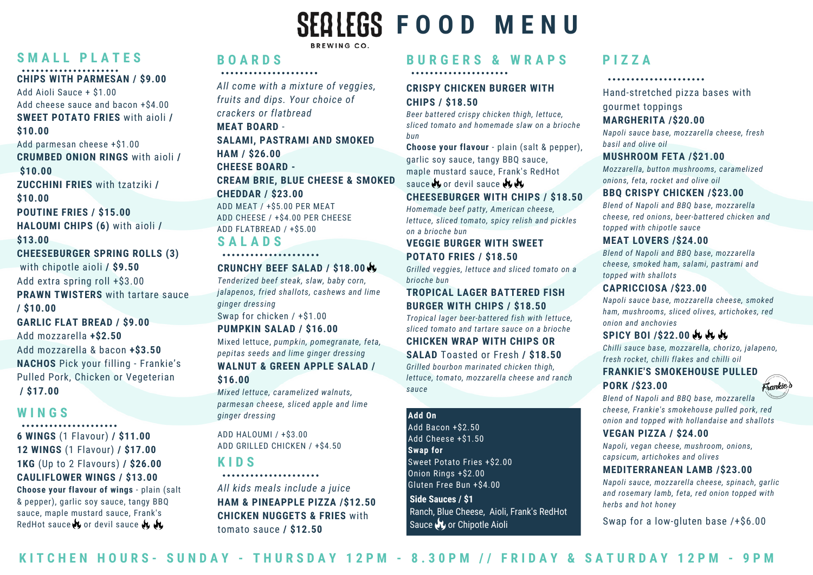# **S M A L L P L A T E S B O A R D S**

# **CHIPS WITH PARMESAN / \$9.00**

Add Aioli Sauce + \$1.00 Add cheese sauce and bacon +\$4.00 **SWEET POTATO FRIES** with aioli **/ \$10.00** Add parmesan cheese +\$1.00 **CRUMBED ONION RINGS** with aioli **/ \$10.00 ZUCCHINI FRIES** with tzatziki **/ \$10.00 POUTINE FRIES / \$15.00 HALOUMI CHIPS (6)** with aioli **/ \$13.00 CHEESEBURGER SPRING ROLLS (3)** with chipotle aioli **/ \$9.50** Add extra spring roll +\$3.00 **PRAWN TWISTERS** with tartare sauce **/ \$10.00 GARLIC FLAT BREAD / \$9.00** Add mozzarella **+\$2.50**

Add mozzarella & bacon **+\$3.50 NACHOS** Pick your filling - Frankie's Pulled Pork, Chicken or Vegeterian **/ \$17.00**

### **W I N G S**

**6 WINGS** (1 Flavour) **/ \$11.00 12 WINGS** (1 Flavour) **/ \$17.00 1KG** (Up to 2 Flavours) **/ \$26.00 CAULIFLOWER WINGS / \$13.00 Choose your flavour of wings** - plain (salt

& pepper), garlic soy sauce, tangy BBQ sauce, maple mustard sauce, Frank's RedHot sauce  $\mathcal{N}$  or devil sauce  $\mathcal{N}$ 

**S A L A D S** *All come with a mixture of veggies, fruits and dips. Your choice of crackers or flatbread* **MEAT BOARD** - **SALAMI, PASTRAMI AND SMOKED HAM / \$26.00 CHEESE BOARD - CREAM BRIE, BLUE CHEESE & SMOKED CHEDDAR / \$23.00** ADD MEAT / +\$5.00 PER MEAT ADD CHEESE / +\$4.00 PER CHEESE ADD FLATBREAD / +\$5.00

BREWING CO.

### 

### **CRUNCHY BEEF SALAD / \$18.00**

*Tenderized beef steak, slaw, baby corn, jalapenos, fried shallots, cashews and lime ginger dressing* Swap for chicken / +\$1.00

### **PUMPKIN SALAD / \$16.00**

Mixed lettuce, *pumpkin, pomegranate, feta, pepitas seeds and lime ginger dressing* **WALNUT & GREEN APPLE SALAD /**

## **\$16.00**

*Mixed lettuce, caramelized walnuts, parmesan cheese, sliced apple and lime ginger dressing*

ADD HALOUMI / +\$3.00 ADD GRILLED CHICKEN / +\$4.50

# **K I D S**

*All kids meals include a juice* **HAM & PINEAPPLE PIZZA /\$12.50 CHICKEN NUGGETS & FRIES** with tomato sauce **/ \$12.50**

# **B U R G E R S & W R A P S**

### **CRISPY CHICKEN BURGER WITH CHIPS / \$18.50**

 $SE^{\text{O}} \times SE^{\text{O}}$  **FOOD MENU** 

*Beer battered crispy chicken thigh, lettuce, sliced tomato and homemade slaw on a brioche bun*

**Choose your flavour** - plain (salt & pepper), garlic soy sauce, tangy BBQ sauce, maple mustard sauce, Frank's RedHot sauce to or devil sauce to the

#### **CHEESEBURGER WITH CHIPS / \$18.50**

*Homemade beef patty, American cheese, lettuce, sliced tomato, spicy relish and pickles on a brioche bun*

### **VEGGIE BURGER WITH SWEET POTATO FRIES / \$18.50**

*Grilled veggies, lettuce and sliced tomato on a brioche bun*

### **TROPICAL LAGER BATTERED FISH BURGER WITH CHIPS / \$18.50**

*Tropical lager beer-battered fish with lettuce, sliced tomato and tartare sauce on a brioche* **CHICKEN WRAP WITH CHIPS OR SALAD** Toasted or Fresh **/ \$18.50**

*Grilled bourbon marinated chicken thigh, lettuce, tomato, mozzarella cheese and ranch sauce*

#### **Add On**

Add Bacon +\$2.50 Add Cheese +\$1.50 **Swap for** Sweet Potato Fries +\$2.00 Onion Rings +\$2.00 Gluten Free Bun +\$4.00

### **Side Sauces / \$1** Ranch, Blue Cheese, Aioli, Frank's RedHot Sauce **N**, or Chipotle Aioli

# **P I Z Z A**

Hand-stretched pizza bases with gourmet toppings

### **MARGHERITA /\$20.00**

*Napoli sauce base, mozzarella cheese, fresh basil and olive oil*

#### **MUSHROOM FETA /\$21.00**

*Mozzarella, button mushrooms, caramelized onions, feta, rocket and olive oil*

### **BBQ CRISPY CHICKEN /\$23.00**

*Blend of Napoli and BBQ base, mozzarella cheese, red onions, beer-battered chicken and topped with chipotle sauce*

### **MEAT LOVERS /\$24.00**

*Blend of Napoli and BBQ base, mozzarella cheese, smoked ham, salami, pastrami and topped with shallots*

### **CAPRICCIOSA /\$23.00**

*Napoli sauce base, mozzarella cheese, smoked ham, mushrooms, sliced olives, artichokes, red onion and anchovies*

### **SPICY BOI /\$22.00**

*Chilli sauce base, mozzarella, chorizo, jalapeno, fresh rocket, chilli flakes and chilli oil*

#### **FRANKIE'S SMOKEHOUSE PULLED**

### **PORK /\$23.00**

Frankie's

*Blend of Napoli and BBQ base, mozzarella cheese, Frankie's smokehouse pulled pork, red onion and topped with hollandaise and shallots*

### **VEGAN PIZZA / \$24.00**

*Napoli, vegan cheese, mushroom, onions, capsicum, artichokes and olives*

#### **MEDITERRANEAN LAMB /\$23.00**

*Napoli sauce, mozzarella cheese, spinach, garlic and rosemary lamb, feta, red onion topped with herbs and hot honey*

Swap for a low-gluten base /+\$6.00